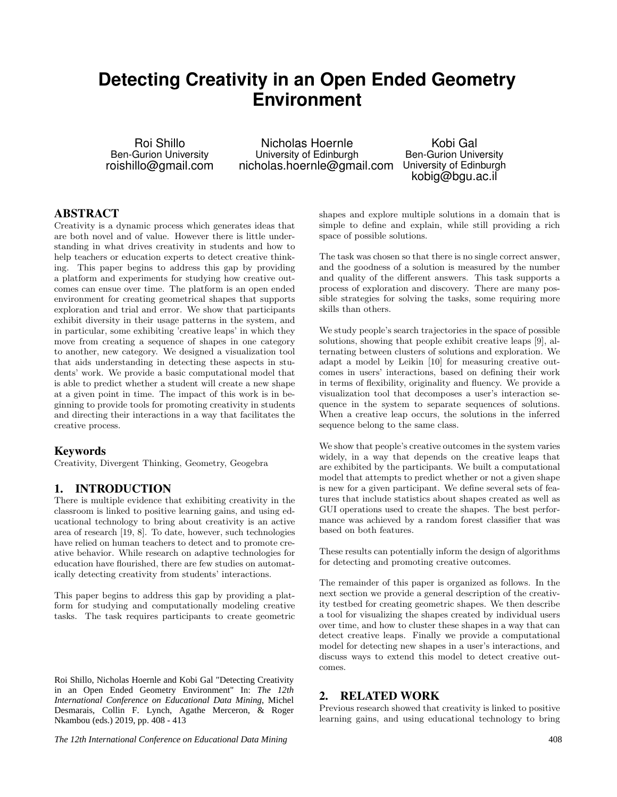# **Detecting Creativity in an Open Ended Geometry Environment**

Roi Shillo Ben-Gurion University roishillo@gmail.com

Nicholas Hoernle University of Edinburgh nicholas.hoernle@gmail.com

Kobi Gal Ben-Gurion University University of Edinburgh kobig@bgu.ac.il

#### ABSTRACT

Creativity is a dynamic process which generates ideas that are both novel and of value. However there is little understanding in what drives creativity in students and how to help teachers or education experts to detect creative thinking. This paper begins to address this gap by providing a platform and experiments for studying how creative outcomes can ensue over time. The platform is an open ended environment for creating geometrical shapes that supports exploration and trial and error. We show that participants exhibit diversity in their usage patterns in the system, and in particular, some exhibiting 'creative leaps' in which they move from creating a sequence of shapes in one category to another, new category. We designed a visualization tool that aids understanding in detecting these aspects in students' work. We provide a basic computational model that is able to predict whether a student will create a new shape at a given point in time. The impact of this work is in beginning to provide tools for promoting creativity in students and directing their interactions in a way that facilitates the creative process.

#### Keywords

Creativity, Divergent Thinking, Geometry, Geogebra

#### 1. INTRODUCTION

There is multiple evidence that exhibiting creativity in the classroom is linked to positive learning gains, and using educational technology to bring about creativity is an active area of research [19, 8]. To date, however, such technologies have relied on human teachers to detect and to promote creative behavior. While research on adaptive technologies for education have flourished, there are few studies on automatically detecting creativity from students' interactions.

This paper begins to address this gap by providing a platform for studying and computationally modeling creative tasks. The task requires participants to create geometric

Roi Shillo, Nicholas Hoernle and Kobi Gal "Detecting Creativity in an Open Ended Geometry Environment" In: *The 12th International Conference on Educational Data Mining*, Michel Desmarais, Collin F. Lynch, Agathe Merceron, & Roger Nkambou (eds.) 2019, pp. 408 - 413

shapes and explore multiple solutions in a domain that is simple to define and explain, while still providing a rich space of possible solutions.

The task was chosen so that there is no single correct answer, and the goodness of a solution is measured by the number and quality of the different answers. This task supports a process of exploration and discovery. There are many possible strategies for solving the tasks, some requiring more skills than others.

We study people's search trajectories in the space of possible solutions, showing that people exhibit creative leaps [9], alternating between clusters of solutions and exploration. We adapt a model by Leikin [10] for measuring creative outcomes in users' interactions, based on defining their work in terms of flexibility, originality and fluency. We provide a visualization tool that decomposes a user's interaction sequence in the system to separate sequences of solutions. When a creative leap occurs, the solutions in the inferred sequence belong to the same class.

We show that people's creative outcomes in the system varies widely, in a way that depends on the creative leaps that are exhibited by the participants. We built a computational model that attempts to predict whether or not a given shape is new for a given participant. We define several sets of features that include statistics about shapes created as well as GUI operations used to create the shapes. The best performance was achieved by a random forest classifier that was based on both features.

These results can potentially inform the design of algorithms for detecting and promoting creative outcomes.

The remainder of this paper is organized as follows. In the next section we provide a general description of the creativity testbed for creating geometric shapes. We then describe a tool for visualizing the shapes created by individual users over time, and how to cluster these shapes in a way that can detect creative leaps. Finally we provide a computational model for detecting new shapes in a user's interactions, and discuss ways to extend this model to detect creative outcomes.

## 2. RELATED WORK

Previous research showed that creativity is linked to positive learning gains, and using educational technology to bring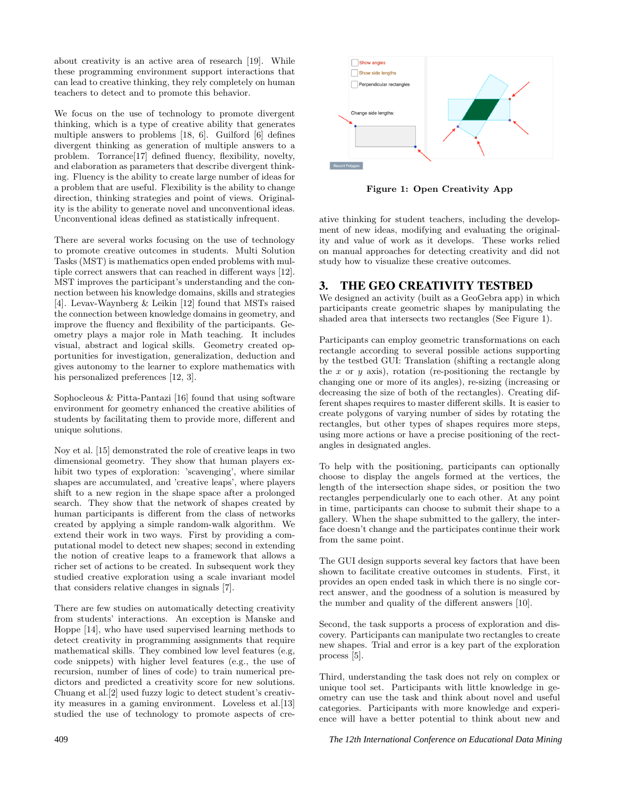about creativity is an active area of research [19]. While these programming environment support interactions that can lead to creative thinking, they rely completely on human teachers to detect and to promote this behavior.

We focus on the use of technology to promote divergent thinking, which is a type of creative ability that generates multiple answers to problems [18, 6]. Guilford [6] defines divergent thinking as generation of multiple answers to a problem. Torrance[17] defined fluency, flexibility, novelty, and elaboration as parameters that describe divergent thinking. Fluency is the ability to create large number of ideas for a problem that are useful. Flexibility is the ability to change direction, thinking strategies and point of views. Originality is the ability to generate novel and unconventional ideas. Unconventional ideas defined as statistically infrequent.

There are several works focusing on the use of technology to promote creative outcomes in students. Multi Solution Tasks (MST) is mathematics open ended problems with multiple correct answers that can reached in different ways [12]. MST improves the participant's understanding and the connection between his knowledge domains, skills and strategies [4]. Levav-Waynberg & Leikin [12] found that MSTs raised the connection between knowledge domains in geometry, and improve the fluency and flexibility of the participants. Geometry plays a major role in Math teaching. It includes visual, abstract and logical skills. Geometry created opportunities for investigation, generalization, deduction and gives autonomy to the learner to explore mathematics with his personalized preferences [12, 3].

Sophocleous & Pitta-Pantazi [16] found that using software environment for geometry enhanced the creative abilities of students by facilitating them to provide more, different and unique solutions.

Noy et al. [15] demonstrated the role of creative leaps in two dimensional geometry. They show that human players exhibit two types of exploration: 'scavenging', where similar shapes are accumulated, and 'creative leaps', where players shift to a new region in the shape space after a prolonged search. They show that the network of shapes created by human participants is different from the class of networks created by applying a simple random-walk algorithm. We extend their work in two ways. First by providing a computational model to detect new shapes; second in extending the notion of creative leaps to a framework that allows a richer set of actions to be created. In subsequent work they studied creative exploration using a scale invariant model that considers relative changes in signals [7].

There are few studies on automatically detecting creativity from students' interactions. An exception is Manske and Hoppe [14], who have used supervised learning methods to detect creativity in programming assignments that require mathematical skills. They combined low level features (e.g, code snippets) with higher level features (e.g., the use of recursion, number of lines of code) to train numerical predictors and predicted a creativity score for new solutions. Chuang et al.[2] used fuzzy logic to detect student's creativity measures in a gaming environment. Loveless et al.[13] studied the use of technology to promote aspects of cre-



Figure 1: Open Creativity App

ative thinking for student teachers, including the development of new ideas, modifying and evaluating the originality and value of work as it develops. These works relied on manual approaches for detecting creativity and did not study how to visualize these creative outcomes.

## 3. THE GEO CREATIVITY TESTBED

We designed an activity (built as a GeoGebra app) in which participants create geometric shapes by manipulating the shaded area that intersects two rectangles (See Figure 1).

Participants can employ geometric transformations on each rectangle according to several possible actions supporting by the testbed GUI: Translation (shifting a rectangle along the  $x$  or  $y$  axis), rotation (re-positioning the rectangle by changing one or more of its angles), re-sizing (increasing or decreasing the size of both of the rectangles). Creating different shapes requires to master different skills. It is easier to create polygons of varying number of sides by rotating the rectangles, but other types of shapes requires more steps, using more actions or have a precise positioning of the rectangles in designated angles.

To help with the positioning, participants can optionally choose to display the angels formed at the vertices, the length of the intersection shape sides, or position the two rectangles perpendicularly one to each other. At any point in time, participants can choose to submit their shape to a gallery. When the shape submitted to the gallery, the interface doesn't change and the participates continue their work from the same point.

The GUI design supports several key factors that have been shown to facilitate creative outcomes in students. First, it provides an open ended task in which there is no single correct answer, and the goodness of a solution is measured by the number and quality of the different answers [10].

Second, the task supports a process of exploration and discovery. Participants can manipulate two rectangles to create new shapes. Trial and error is a key part of the exploration process [5].

Third, understanding the task does not rely on complex or unique tool set. Participants with little knowledge in geometry can use the task and think about novel and useful categories. Participants with more knowledge and experience will have a better potential to think about new and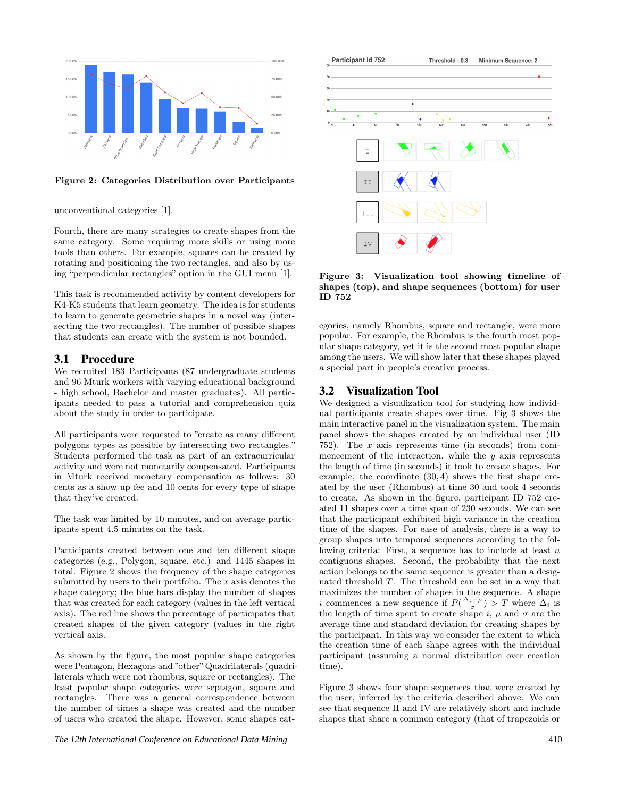

Figure 2: Categories Distribution over Participants

unconventional categories [1].

Fourth, there are many strategies to create shapes from the same category. Some requiring more skills or using more tools than others. For example, squares can be created by rotating and positioning the two rectangles, and also by using "perpendicular rectangles" option in the GUI menu [1].

This task is recommended activity by content developers for K4-K5 students that learn geometry. The idea is for students to learn to generate geometric shapes in a novel way (intersecting the two rectangles). The number of possible shapes that students can create with the system is not bounded.

#### 3.1 Procedure

We recruited 183 Participants (87 undergraduate students and 96 Mturk workers with varying educational background - high school, Bachelor and master graduates). All participants needed to pass a tutorial and comprehension quiz about the study in order to participate.

All participants were requested to "create as many different polygons types as possible by intersecting two rectangles." Students performed the task as part of an extracurricular activity and were not monetarily compensated. Participants in Mturk received monetary compensation as follows: 30 cents as a show up fee and 10 cents for every type of shape that they've created.

The task was limited by 10 minutes, and on average participants spent 4.5 minutes on the task.

Participants created between one and ten different shape categories (e.g., Polygon, square, etc.) and 1445 shapes in total. Figure 2 shows the frequency of the shape categories submitted by users to their portfolio. The  $x$  axis denotes the shape category; the blue bars display the number of shapes that was created for each category (values in the left vertical axis). The red line shows the percentage of participates that created shapes of the given category (values in the right vertical axis.

As shown by the figure, the most popular shape categories were Pentagon, Hexagons and "other"Quadrilaterals (quadrilaterals which were not rhombus, square or rectangles). The least popular shape categories were septagon, square and rectangles. There was a general correspondence between the number of times a shape was created and the number of users who created the shape. However, some shapes cat-



Figure 3: Visualization tool showing timeline of shapes (top), and shape sequences (bottom) for user ID 752

egories, namely Rhombus, square and rectangle, were more popular. For example, the Rhombus is the fourth most popular shape category, yet it is the second most popular shape among the users. We will show later that these shapes played a special part in people's creative process.

#### 3.2 Visualization Tool

We designed a visualization tool for studying how individual participants create shapes over time. Fig 3 shows the main interactive panel in the visualization system. The main panel shows the shapes created by an individual user (ID 752). The x axis represents time (in seconds) from commencement of the interaction, while the  $y$  axis represents the length of time (in seconds) it took to create shapes. For example, the coordinate (30, 4) shows the first shape created by the user (Rhombus) at time 30 and took 4 seconds to create. As shown in the figure, participant ID 752 created 11 shapes over a time span of 230 seconds. We can see that the participant exhibited high variance in the creation time of the shapes. For ease of analysis, there is a way to group shapes into temporal sequences according to the following criteria: First, a sequence has to include at least  $n$ contiguous shapes. Second, the probability that the next action belongs to the same sequence is greater than a designated threshold T. The threshold can be set in a way that maximizes the number of shapes in the sequence. A shape i commences a new sequence if  $P(\frac{\Delta_i-\mu}{\sigma})$  > T where  $\Delta_i$  is the length of time spent to create shape i,  $\mu$  and  $\sigma$  are the average time and standard deviation for creating shapes by the participant. In this way we consider the extent to which the creation time of each shape agrees with the individual participant (assuming a normal distribution over creation time).

Figure 3 shows four shape sequences that were created by the user, inferred by the criteria described above. We can see that sequence II and IV are relatively short and include shapes that share a common category (that of trapezoids or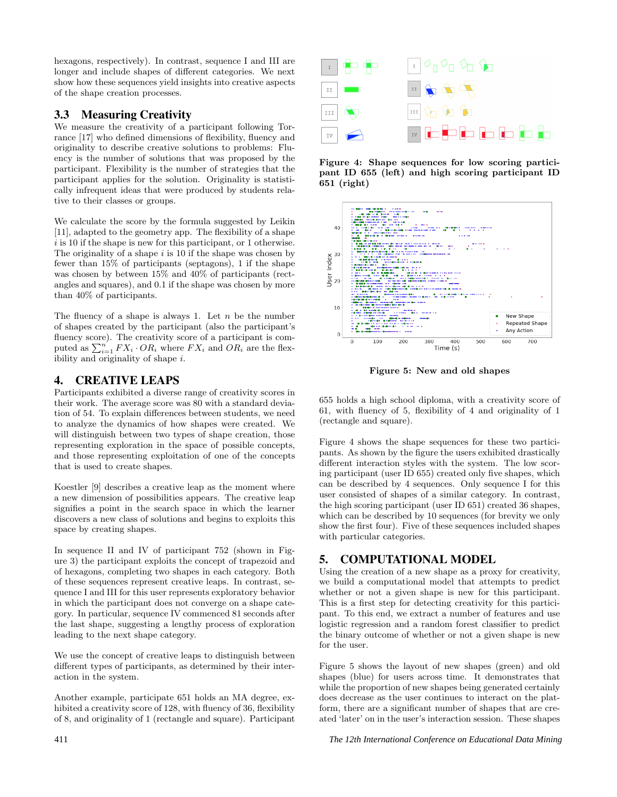hexagons, respectively). In contrast, sequence I and III are longer and include shapes of different categories. We next show how these sequences yield insights into creative aspects of the shape creation processes.

#### 3.3 Measuring Creativity

We measure the creativity of a participant following Torrance [17] who defined dimensions of flexibility, fluency and originality to describe creative solutions to problems: Fluency is the number of solutions that was proposed by the participant. Flexibility is the number of strategies that the participant applies for the solution. Originality is statistically infrequent ideas that were produced by students relative to their classes or groups.

We calculate the score by the formula suggested by Leikin [11], adapted to the geometry app. The flexibility of a shape  $i$  is 10 if the shape is new for this participant, or 1 otherwise. The originality of a shape  $i$  is 10 if the shape was chosen by fewer than 15% of participants (septagons), 1 if the shape was chosen by between 15% and 40% of participants (rectangles and squares), and 0.1 if the shape was chosen by more than 40% of participants.

The fluency of a shape is always 1. Let  $n$  be the number of shapes created by the participant (also the participant's fluency score). The creativity score of a participant is computed as  $\sum_{i=1}^{n} FX_i \cdot OR_i$  where  $FX_i$  and  $OR_i$  are the flexibility and originality of shape i.

# 4. CREATIVE LEAPS

Participants exhibited a diverse range of creativity scores in their work. The average score was 80 with a standard deviation of 54. To explain differences between students, we need to analyze the dynamics of how shapes were created. We will distinguish between two types of shape creation, those representing exploration in the space of possible concepts, and those representing exploitation of one of the concepts that is used to create shapes.

Koestler [9] describes a creative leap as the moment where a new dimension of possibilities appears. The creative leap signifies a point in the search space in which the learner discovers a new class of solutions and begins to exploits this space by creating shapes.

In sequence II and IV of participant 752 (shown in Figure 3) the participant exploits the concept of trapezoid and of hexagons, completing two shapes in each category. Both of these sequences represent creative leaps. In contrast, sequence I and III for this user represents exploratory behavior in which the participant does not converge on a shape category. In particular, sequence IV commenced 81 seconds after the last shape, suggesting a lengthy process of exploration leading to the next shape category.

We use the concept of creative leaps to distinguish between different types of participants, as determined by their interaction in the system.

Another example, participate 651 holds an MA degree, exhibited a creativity score of 128, with fluency of 36, flexibility of 8, and originality of 1 (rectangle and square). Participant



Figure 4: Shape sequences for low scoring participant ID 655 (left) and high scoring participant ID 651 (right)



Figure 5: New and old shapes

655 holds a high school diploma, with a creativity score of 61, with fluency of 5, flexibility of 4 and originality of 1 (rectangle and square).

Figure 4 shows the shape sequences for these two participants. As shown by the figure the users exhibited drastically different interaction styles with the system. The low scoring participant (user ID 655) created only five shapes, which can be described by 4 sequences. Only sequence I for this user consisted of shapes of a similar category. In contrast, the high scoring participant (user ID 651) created 36 shapes, which can be described by 10 sequences (for brevity we only show the first four). Five of these sequences included shapes with particular categories.

# 5. COMPUTATIONAL MODEL

Using the creation of a new shape as a proxy for creativity, we build a computational model that attempts to predict whether or not a given shape is new for this participant. This is a first step for detecting creativity for this participant. To this end, we extract a number of features and use logistic regression and a random forest classifier to predict the binary outcome of whether or not a given shape is new for the user.

Figure 5 shows the layout of new shapes (green) and old shapes (blue) for users across time. It demonstrates that while the proportion of new shapes being generated certainly does decrease as the user continues to interact on the platform, there are a significant number of shapes that are created 'later' on in the user's interaction session. These shapes

411 *The 12th International Conference on Educational Data Mining*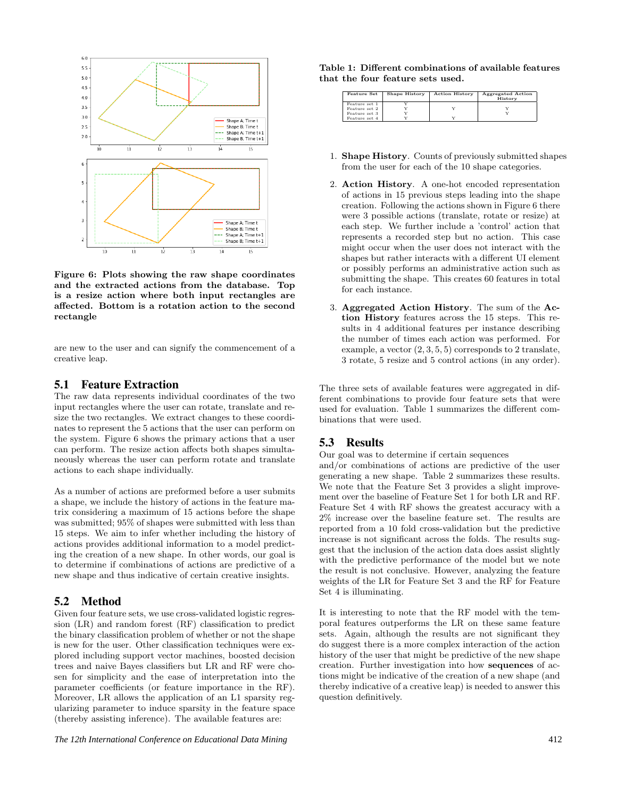

Figure 6: Plots showing the raw shape coordinates and the extracted actions from the database. Top is a resize action where both input rectangles are affected. Bottom is a rotation action to the second rectangle

are new to the user and can signify the commencement of a creative leap.

#### 5.1 Feature Extraction

The raw data represents individual coordinates of the two input rectangles where the user can rotate, translate and resize the two rectangles. We extract changes to these coordinates to represent the 5 actions that the user can perform on the system. Figure 6 shows the primary actions that a user can perform. The resize action affects both shapes simultaneously whereas the user can perform rotate and translate actions to each shape individually.

As a number of actions are preformed before a user submits a shape, we include the history of actions in the feature matrix considering a maximum of 15 actions before the shape was submitted; 95% of shapes were submitted with less than 15 steps. We aim to infer whether including the history of actions provides additional information to a model predicting the creation of a new shape. In other words, our goal is to determine if combinations of actions are predictive of a new shape and thus indicative of certain creative insights.

#### 5.2 Method

Given four feature sets, we use cross-validated logistic regression (LR) and random forest (RF) classification to predict the binary classification problem of whether or not the shape is new for the user. Other classification techniques were explored including support vector machines, boosted decision trees and naive Bayes classifiers but LR and RF were chosen for simplicity and the ease of interpretation into the parameter coefficients (or feature importance in the RF). Moreover, LR allows the application of an L1 sparsity regularizing parameter to induce sparsity in the feature space (thereby assisting inference). The available features are:

| Table 1: Different combinations of available features |
|-------------------------------------------------------|
| that the four feature sets used.                      |

| <b>Feature Set</b> | <b>Shape History</b> | <b>Action History</b> | <b>Aggregated Action</b><br>History |
|--------------------|----------------------|-----------------------|-------------------------------------|
| Feature set 1      |                      |                       |                                     |
| Feature set 2      |                      |                       |                                     |
| Feature set 3      |                      |                       |                                     |
| Feature set 4      |                      |                       |                                     |

- 1. Shape History. Counts of previously submitted shapes from the user for each of the 10 shape categories.
- 2. Action History. A one-hot encoded representation of actions in 15 previous steps leading into the shape creation. Following the actions shown in Figure 6 there were 3 possible actions (translate, rotate or resize) at each step. We further include a 'control' action that represents a recorded step but no action. This case might occur when the user does not interact with the shapes but rather interacts with a different UI element or possibly performs an administrative action such as submitting the shape. This creates 60 features in total for each instance.
- 3. Aggregated Action History. The sum of the Action History features across the 15 steps. This results in 4 additional features per instance describing the number of times each action was performed. For example, a vector  $(2, 3, 5, 5)$  corresponds to 2 translate, 3 rotate, 5 resize and 5 control actions (in any order).

The three sets of available features were aggregated in different combinations to provide four feature sets that were used for evaluation. Table 1 summarizes the different combinations that were used.

## 5.3 Results

Our goal was to determine if certain sequences

and/or combinations of actions are predictive of the user generating a new shape. Table 2 summarizes these results. We note that the Feature Set 3 provides a slight improvement over the baseline of Feature Set 1 for both LR and RF. Feature Set 4 with RF shows the greatest accuracy with a 2% increase over the baseline feature set. The results are reported from a 10 fold cross-validation but the predictive increase is not significant across the folds. The results suggest that the inclusion of the action data does assist slightly with the predictive performance of the model but we note the result is not conclusive. However, analyzing the feature weights of the LR for Feature Set 3 and the RF for Feature Set 4 is illuminating.

It is interesting to note that the RF model with the temporal features outperforms the LR on these same feature sets. Again, although the results are not significant they do suggest there is a more complex interaction of the action history of the user that might be predictive of the new shape creation. Further investigation into how sequences of actions might be indicative of the creation of a new shape (and thereby indicative of a creative leap) is needed to answer this question definitively.